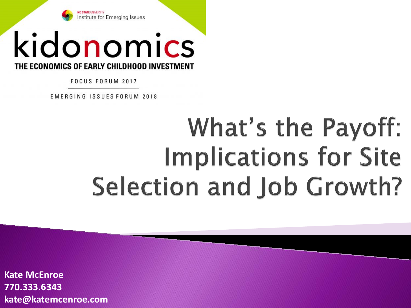

## kidonomics THE ECONOMICS OF EARLY CHILDHOOD INVESTMENT

FOCUS FORUM 2017

EMERGING ISSUES FORUM 2018

## What's the Payoff: **Implications for Site Selection and Job Growth?**

**Kate McEnroe** 770.333.6343 kate@katemcenroe.com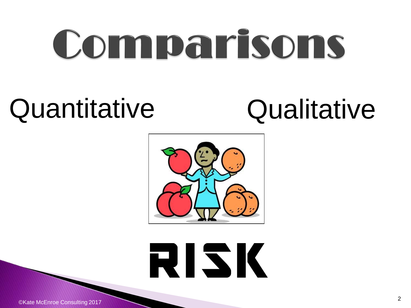# Comparisons

## Quantitative Qualitative



RISK

©Kate McEnroe Consulting 2017 <sup>2</sup>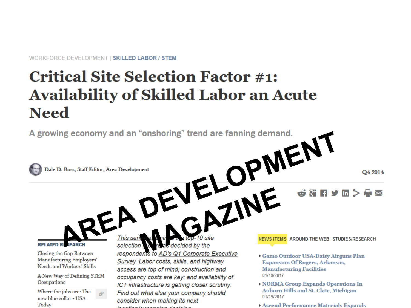WORKFORCE DEVELOPMENT | SKILLED LABOR / STEM

## **Critical Site Selection Factor #1: Availability of Skilled Labor an Acute Need**

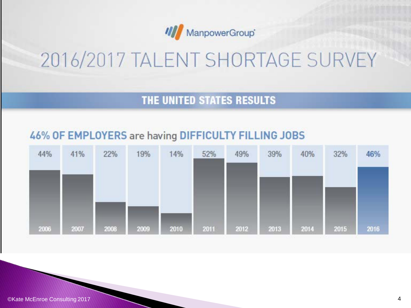

## 2016/2017 TALENT SHORTAGE SURVEY

### THE UNITED STATES RESULTS

### 46% OF EMPLOYERS are having DIFFICULTY FILLING JOBS

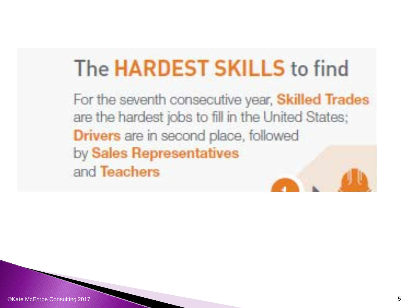## The HARDEST SKILLS to find

For the seventh consecutive year, Skilled Trades are the hardest jobs to fill in the United States; Drivers are in second place, followed by Sales Representatives and Teachers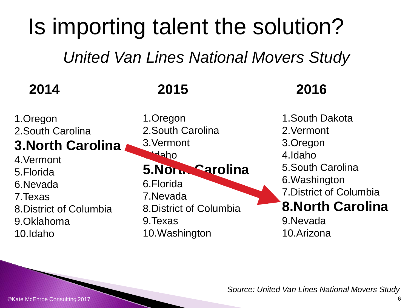## Is importing talent the solution?

*United Van Lines National Movers Study*

| 2014 |  |
|------|--|
|------|--|

1.Oregon 2.South Carolina **3.North Carolina** 4.Vermont 5.Florida 6.Nevada 7.Texas 8.District of Columbia 9.Oklahoma

1.Oregon 2.South Carolina 3.Vermont 4.Idaho **5.North Carolina** 6.Florida 7.Nevada 8.District of Columbia 9.Texas 10.Washington

### **2015 2016**

1.South Dakota 2.Vermont 3.Oregon 4.Idaho 5.South Carolina 6.Washington 7.District of Columbia **8.North Carolina** 9.Nevada 10.Arizona

*Source: United Van Lines National Movers Study*

10.Idaho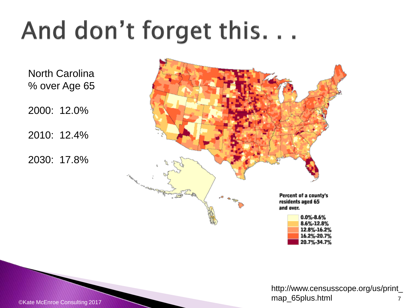## And don't forget this...

North Carolina % over Age 65

2000: 12.0%

2010: 12.4%

2030: 17.8%



©Kate McEnroe Consulting 2017 7 The Consulting 2017 7 The Consulting 2017 7 The Consulting 2017 7 The Consulting 2017 http://www.censusscope.org/us/print\_ map\_65plus.html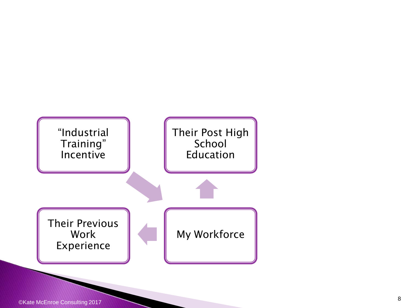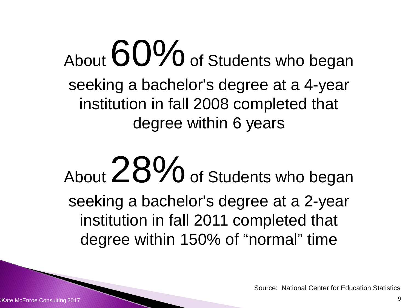About  $60\%$  of Students who began seeking a bachelor's degree at a 4-year institution in fall 2008 completed that degree within 6 years

About  $28\%$  of Students who began seeking a bachelor's degree at a 2-year institution in fall 2011 completed that degree within 150% of "normal" time

Source: National Center for Education Statistics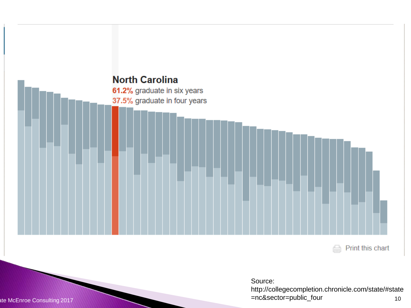

Source:

http://collegecompletion.chronicle.com/state/#state =nc&sector=public\_four  $10$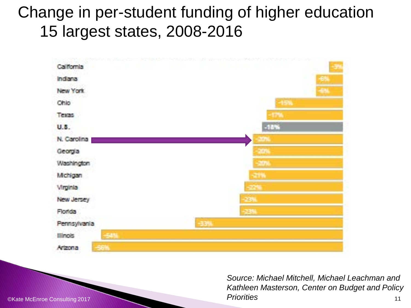## Change in per-student funding of higher education 15 largest states, 2008-2016



©Kate McEnroe Consulting 2017 11 *Source: Michael Mitchell, Michael Leachman and Kathleen Masterson, Center on Budget and Policy Priorities*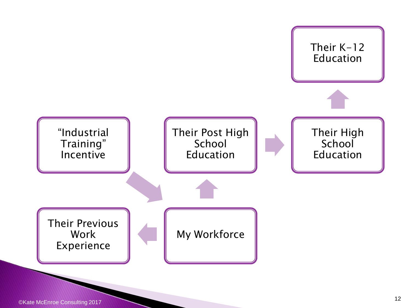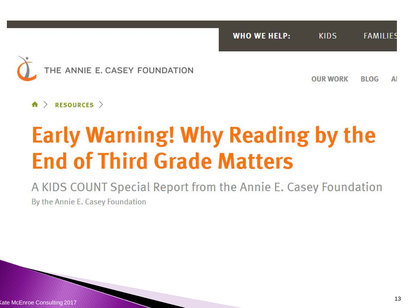**KIDS WHO WE HELP: FAMILIES** 



**OUR WORK BLOG** A

 $\land$  RESOURCES  $>$ 

## **Early Warning! Why Reading by the End of Third Grade Matters**

A KIDS COUNT Special Report from the Annie E. Casey Foundation By the Annie E. Casey Foundation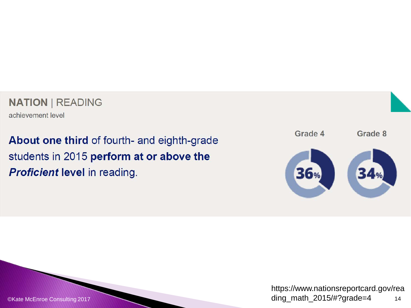### **NATION | READING**

achievement level

About one third of fourth- and eighth-grade students in 2015 perform at or above the **Proficient level in reading.** 



https://www.nationsreportcard.gov/rea ding\_math\_2015/#?grade=4  $14$ 

©Kate McEnroe Consulting 2017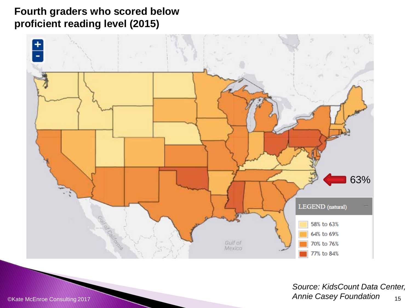### **Fourth graders who scored below proficient reading level (2015)**



CKate McEnroe Consulting 2017 15 *Source: KidsCount Data Center, Annie Casey Foundation*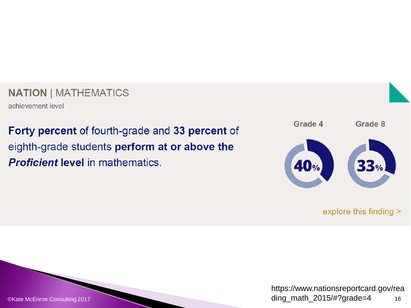### **NATION | MATHEMATICS**

achievement level

Forty percent of fourth-grade and 33 percent of eighth-grade students perform at or above the **Proficient level in mathematics.** 



explore this finding >

https://www.nationsreportcard.gov/rea ding\_math\_2015/#?grade=4 16

©Kate McEnroe Consulting 2017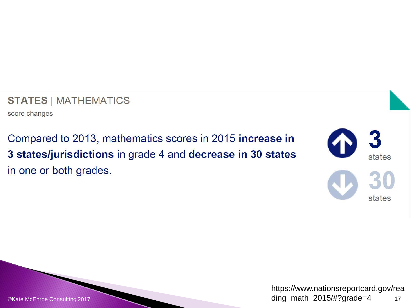**STATES | MATHEMATICS** 

score changes

Compared to 2013, mathematics scores in 2015 increase in 3 states/jurisdictions in grade 4 and decrease in 30 states in one or both grades.



https://www.nationsreportcard.gov/rea ding\_math\_2015/#?grade=4  $17$ 

©Kate McEnroe Consulting 2017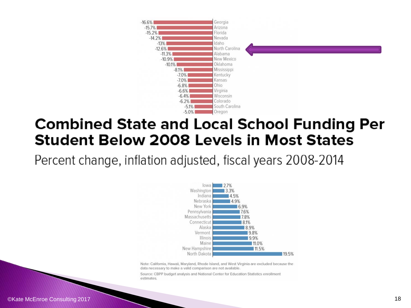

### **Combined State and Local School Funding Per Student Below 2008 Levels in Most States**

Percent change, inflation adjusted, fiscal years 2008-2014



Note: California, Hawaii, Maryland, Rhode Island, and West Virginia are excluded because the data necessary to make a valid comparison are not available.

Source: CBPP budget analysis and National Center for Education Statistics enrollment estimates.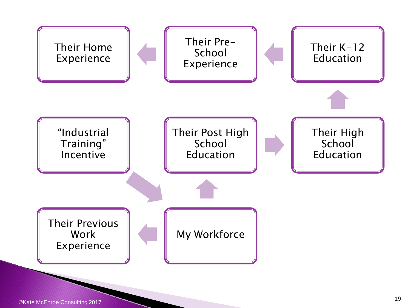